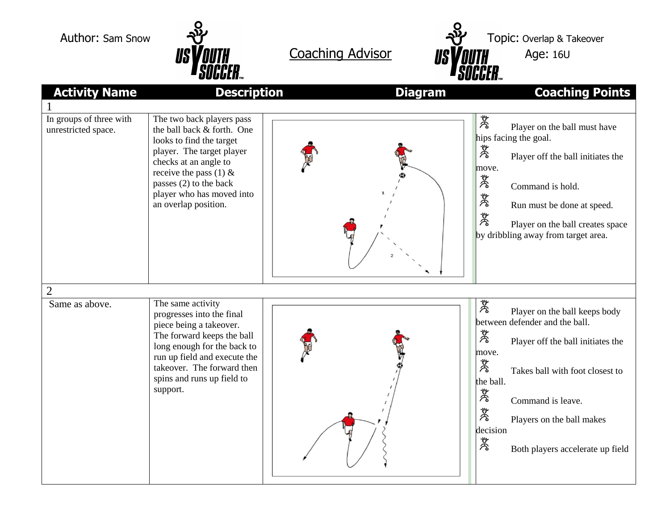



| <b>Activity Name</b>                           | <b>Description</b>                                                                                                                                                                                                                                    | <b>Diagram</b> | <b>Coaching Points</b>                                                                                                                                                                                                                                                                                 |
|------------------------------------------------|-------------------------------------------------------------------------------------------------------------------------------------------------------------------------------------------------------------------------------------------------------|----------------|--------------------------------------------------------------------------------------------------------------------------------------------------------------------------------------------------------------------------------------------------------------------------------------------------------|
|                                                |                                                                                                                                                                                                                                                       |                |                                                                                                                                                                                                                                                                                                        |
| In groups of three with<br>unrestricted space. | The two back players pass<br>the ball back & forth. One<br>looks to find the target<br>player. The target player<br>checks at an angle to<br>receive the pass (1) $\&$<br>passes (2) to the back<br>player who has moved into<br>an overlap position. |                | 芳<br>Player on the ball must have<br>hips facing the goal.<br>涔<br>Player off the ball initiates the<br>move.<br>冷<br>Command is hold.<br>茂<br>Run must be done at speed.<br>赏<br>Player on the ball creates space<br>by dribbling away from target area.                                              |
| $\overline{2}$                                 |                                                                                                                                                                                                                                                       |                |                                                                                                                                                                                                                                                                                                        |
| Same as above.                                 | The same activity<br>progresses into the final<br>piece being a takeover.<br>The forward keeps the ball<br>long enough for the back to<br>run up field and execute the<br>takeover. The forward then<br>spins and runs up field to<br>support.        |                | 茂<br>Player on the ball keeps body<br>between defender and the ball.<br>茂<br>Player off the ball initiates the<br>move.<br>ざる<br>Takes ball with foot closest to<br>the ball.<br>茂<br>Command is leave.<br>芳<br>Players on the ball makes<br>decision<br><b>DE</b><br>Both players accelerate up field |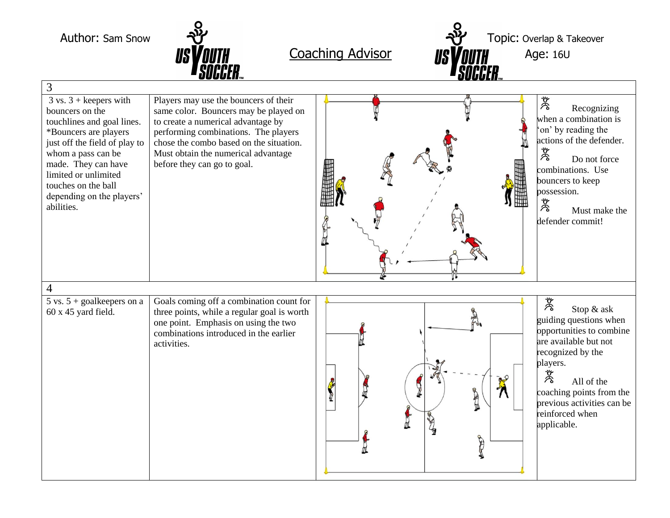Author: Sam Snow  $\frac{1}{2}$  M  $\frac{1}{2}$  Topic: Overlap & Takeover  $Coaching Advisor$  **Age: 16U** 3  $3 \text{ vs. } 3 + \text{keepers with}$ Players may use the bouncers of their  $M_{\kappa}$ Recognizing bouncers on the same color. Bouncers may be played on when a combination is touchlines and goal lines. to create a numerical advantage by 'on' by reading the \*Bouncers are players performing combinations. The players  $\frac{4}{\cancel{8}}$  Co not force just off the field of play to chose the combo based on the situation. whom a pass can be Must obtain the numerical advantage Do not force made. They can have before they can go to goal. combinations. Use limited or unlimited bouncers to keep touches on the ball possession.<br> $\frac{w}{\delta}$  M<sub>1</sub> depending on the players' abilities. Must make the defender commit! 4  $5$  vs.  $5 +$  goalkeepers on a Goals coming off a combination count for 茂 Stop & ask three points, while a regular goal is worth 60 x 45 yard field. guiding questions when one point. Emphasis on using the two opportunities to combine combinations introduced in the earlier are available but not activities. recognized by the players.  $\boldsymbol{\lambda}$ All of the Ą CRES coaching points from the previous activities can be r<br>reinforced when 山 applicable.D